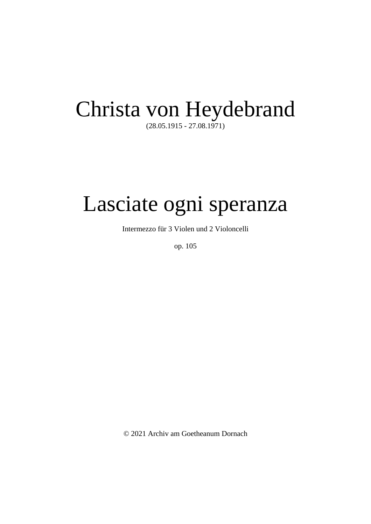## Christa von Heydebrand

(28.05.1915 - 27.08.1971)

## Lasciate ogni speranza

Intermezzo für 3 Violen und 2 Violoncelli

op. 105

© 2021 Archiv am Goetheanum Dornach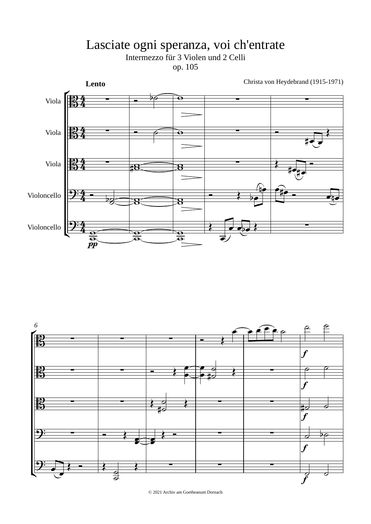## Lasciate ogni speranza, voi ch'entrate<br>Intermezzo für 3 Violen und 2 Celli op. 105





© 2021 Archiv am Goetheanum Dornach